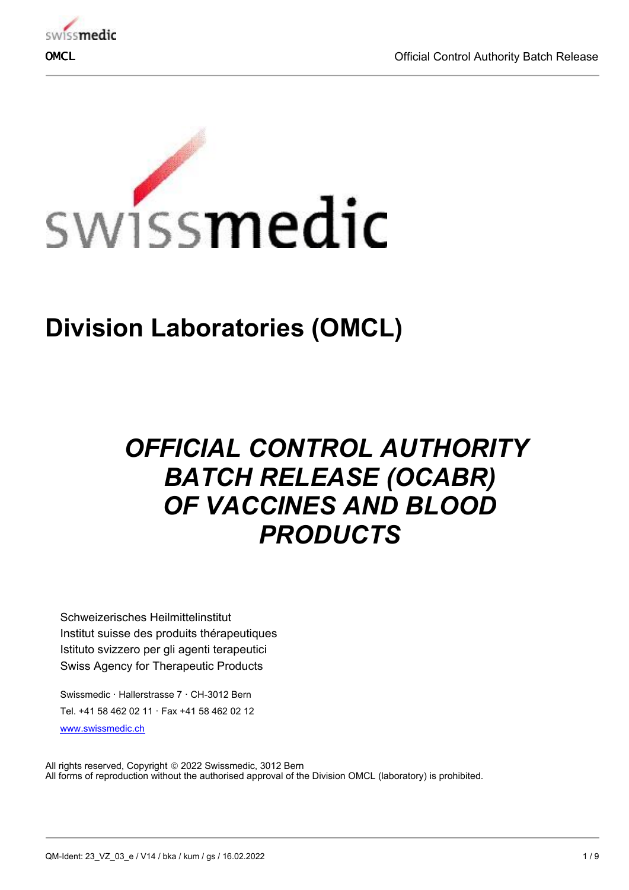



# **Division Laboratories (OMCL)**

# *OFFICIAL CONTROL AUTHORITY BATCH RELEASE (OCABR) OF VACCINES AND BLOOD PRODUCTS*

Schweizerisches Heilmittelinstitut Institut suisse des produits thérapeutiques Istituto svizzero per gli agenti terapeutici Swiss Agency for Therapeutic Products

Swissmedic · Hallerstrasse 7 · CH-3012 Bern Tel. +41 58 462 02 11 · Fax +41 58 462 02 12 [www.swissmedic.ch](http://www.swissmedic.ch)

All rights reserved, Copyright © 2022 Swissmedic, 3012 Bern All forms of reproduction without the authorised approval of the Division OMCL (laboratory) is prohibited.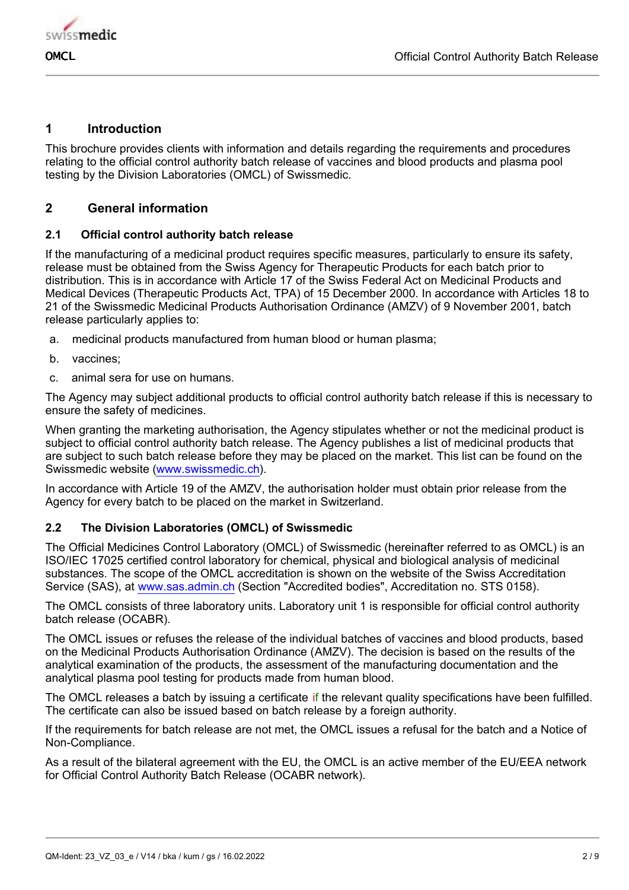

## **1 Introduction**

This brochure provides clients with information and details regarding the requirements and procedures relating to the official control authority batch release of vaccines and blood products and plasma pool testing by the Division Laboratories (OMCL) of Swissmedic.

# **2 General information**

## **2.1 Official control authority batch release**

If the manufacturing of a medicinal product requires specific measures, particularly to ensure its safety, release must be obtained from the Swiss Agency for Therapeutic Products for each batch prior to distribution. This is in accordance with Article 17 of the Swiss Federal Act on Medicinal Products and Medical Devices (Therapeutic Products Act, TPA) of 15 December 2000. In accordance with Articles 18 to 21 of the Swissmedic Medicinal Products Authorisation Ordinance (AMZV) of 9 November 2001, batch release particularly applies to:

- a. medicinal products manufactured from human blood or human plasma;
- b. vaccines;
- c. animal sera for use on humans.

The Agency may subject additional products to official control authority batch release if this is necessary to ensure the safety of medicines.

When granting the marketing authorisation, the Agency stipulates whether or not the medicinal product is subject to official control authority batch release. The Agency publishes a list of medicinal products that are subject to such batch release before they may be placed on the market. This list can be found on the Swissmedic website [\(www.swissmedic.ch\)](http://www.swissmedic.ch).

In accordance with Article 19 of the AMZV, the authorisation holder must obtain prior release from the Agency for every batch to be placed on the market in Switzerland.

## **2.2 The Division Laboratories (OMCL) of Swissmedic**

The Official Medicines Control Laboratory (OMCL) of Swissmedic (hereinafter referred to as OMCL) is an ISO/IEC 17025 certified control laboratory for chemical, physical and biological analysis of medicinal substances. The scope of the OMCL accreditation is shown on the website of the Swiss Accreditation Service (SAS), at [www.sas.admin.ch](http://www.sas.admin.ch) (Section "Accredited bodies", Accreditation no. STS 0158).

The OMCL consists of three laboratory units. Laboratory unit 1 is responsible for official control authority batch release (OCABR).

The OMCL issues or refuses the release of the individual batches of vaccines and blood products, based on the Medicinal Products Authorisation Ordinance (AMZV). The decision is based on the results of the analytical examination of the products, the assessment of the manufacturing documentation and the analytical plasma pool testing for products made from human blood.

The OMCL releases a batch by issuing a certificate if the relevant quality specifications have been fulfilled. The certificate can also be issued based on batch release by a foreign authority.

If the requirements for batch release are not met, the OMCL issues a refusal for the batch and a Notice of Non-Compliance.

As a result of the bilateral agreement with the EU, the OMCL is an active member of the EU/EEA network for Official Control Authority Batch Release (OCABR network).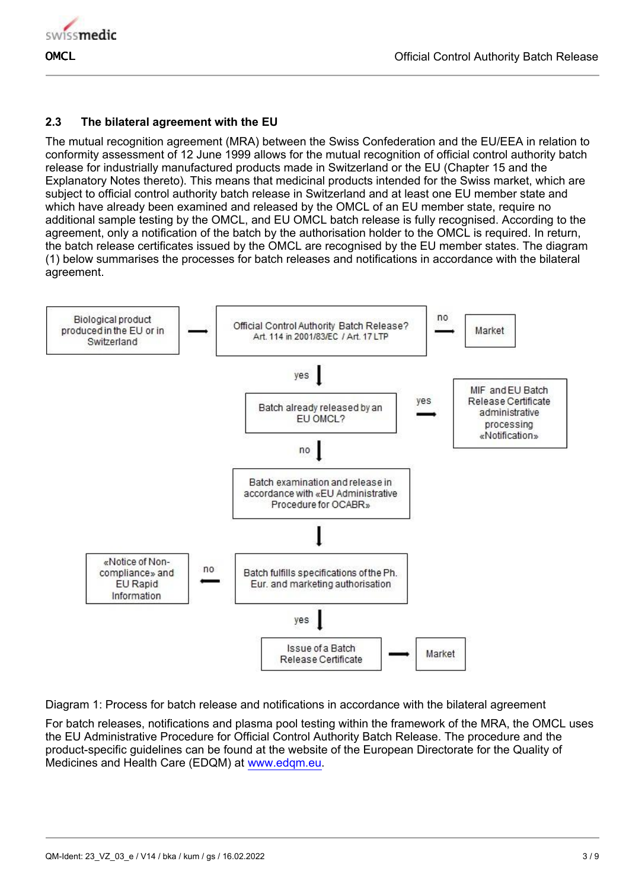

## **2.3 The bilateral agreement with the EU**

The mutual recognition agreement (MRA) between the Swiss Confederation and the EU/EEA in relation to conformity assessment of 12 June 1999 allows for the mutual recognition of official control authority batch release for industrially manufactured products made in Switzerland or the EU (Chapter 15 and the Explanatory Notes thereto). This means that medicinal products intended for the Swiss market, which are subject to official control authority batch release in Switzerland and at least one EU member state and which have already been examined and released by the OMCL of an EU member state, require no additional sample testing by the OMCL, and EU OMCL batch release is fully recognised. According to the agreement, only a notification of the batch by the authorisation holder to the OMCL is required. In return, the batch release certificates issued by the OMCL are recognised by the EU member states. The diagram (1) below summarises the processes for batch releases and notifications in accordance with the bilateral agreement.



Diagram 1: Process for batch release and notifications in accordance with the bilateral agreement

For batch releases, notifications and plasma pool testing within the framework of the MRA, the OMCL uses the EU Administrative Procedure for Official Control Authority Batch Release. The procedure and the product-specific guidelines can be found at the website of the European Directorate for the Quality of Medicines and Health Care (EDQM) at [www.edqm.eu](http://www.edqm.eu).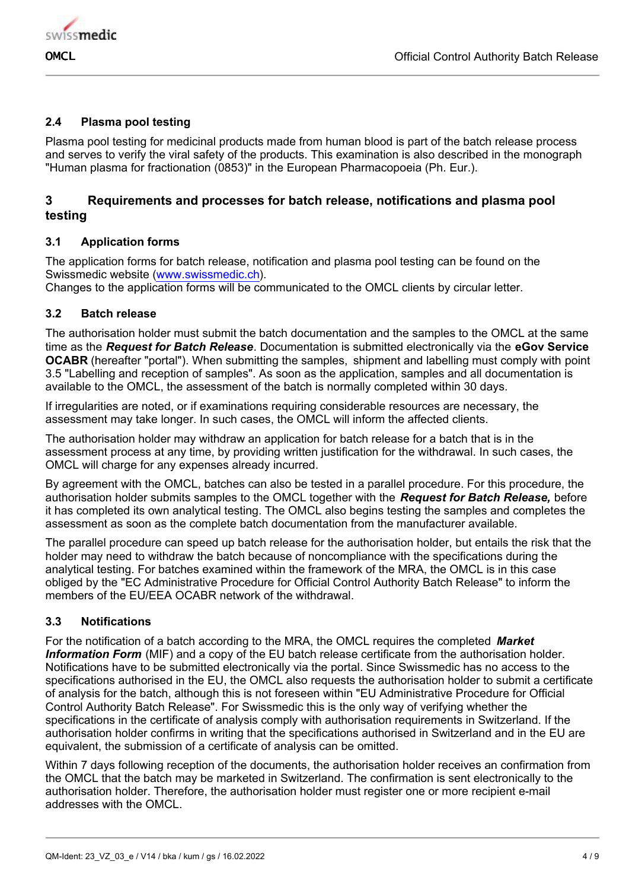

## **2.4 Plasma pool testing**

Plasma pool testing for medicinal products made from human blood is part of the batch release process and serves to verify the viral safety of the products. This examination is also described in the monograph "Human plasma for fractionation (0853)" in the European Pharmacopoeia (Ph. Eur.).

## **3 Requirements and processes for batch release, notifications and plasma pool testing**

## **3.1 Application forms**

The application forms for batch release, notification and plasma pool testing can be found on the Swissmedic website [\(www.swissmedic.ch\)](http://www.swissmedic.ch).

Changes to the application forms will be communicated to the OMCL clients by circular letter.

#### **3.2 Batch release**

The authorisation holder must submit the batch documentation and the samples to the OMCL at the same time as the *Request for Batch Release*. Documentation is submitted electronically via the **eGov Service OCABR** (hereafter "portal"). When submitting the samples, shipment and labelling must comply with point 3.5 "Labelling and reception of samples". As soon as the application, samples and all documentation is available to the OMCL, the assessment of the batch is normally completed within 30 days.

If irregularities are noted, or if examinations requiring considerable resources are necessary, the assessment may take longer. In such cases, the OMCL will inform the affected clients.

The authorisation holder may withdraw an application for batch release for a batch that is in the assessment process at any time, by providing written justification for the withdrawal. In such cases, the OMCL will charge for any expenses already incurred.

By agreement with the OMCL, batches can also be tested in a parallel procedure. For this procedure, the authorisation holder submits samples to the OMCL together with the *Request for Batch Release,* before it has completed its own analytical testing. The OMCL also begins testing the samples and completes the assessment as soon as the complete batch documentation from the manufacturer available.

The parallel procedure can speed up batch release for the authorisation holder, but entails the risk that the holder may need to withdraw the batch because of noncompliance with the specifications during the analytical testing. For batches examined within the framework of the MRA, the OMCL is in this case obliged by the "EC Administrative Procedure for Official Control Authority Batch Release" to inform the members of the EU/EEA OCABR network of the withdrawal.

## **3.3 Notifications**

For the notification of a batch according to the MRA, the OMCL requires the completed *Market Information Form* (MIF) and a copy of the EU batch release certificate from the authorisation holder. Notifications have to be submitted electronically via the portal. Since Swissmedic has no access to the specifications authorised in the EU, the OMCL also requests the authorisation holder to submit a certificate of analysis for the batch, although this is not foreseen within "EU Administrative Procedure for Official Control Authority Batch Release". For Swissmedic this is the only way of verifying whether the specifications in the certificate of analysis comply with authorisation requirements in Switzerland. If the authorisation holder confirms in writing that the specifications authorised in Switzerland and in the EU are equivalent, the submission of a certificate of analysis can be omitted.

Within 7 days following reception of the documents, the authorisation holder receives an confirmation from the OMCL that the batch may be marketed in Switzerland. The confirmation is sent electronically to the authorisation holder. Therefore, the authorisation holder must register one or more recipient e-mail addresses with the OMCL.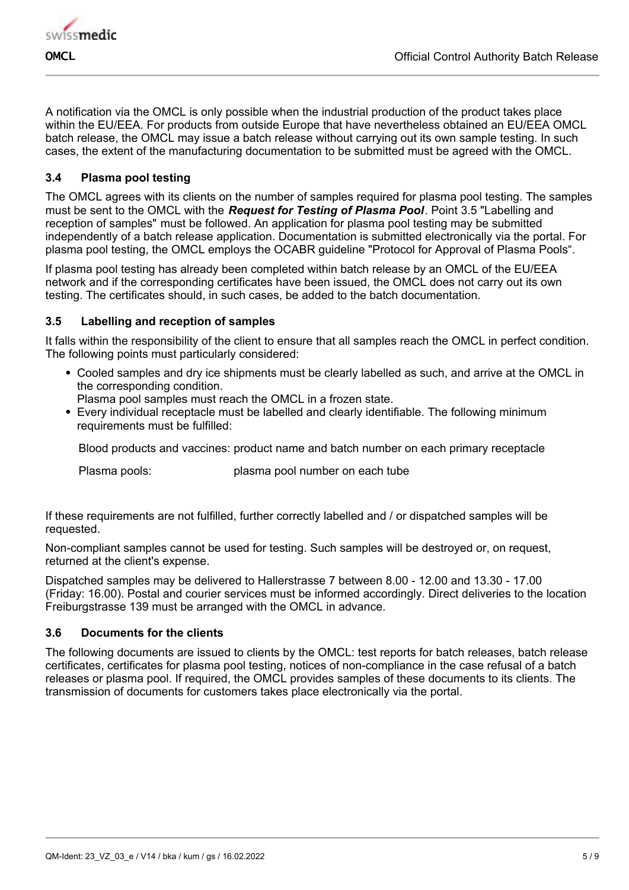

A notification via the OMCL is only possible when the industrial production of the product takes place within the EU/EEA. For products from outside Europe that have nevertheless obtained an EU/EEA OMCL batch release, the OMCL may issue a batch release without carrying out its own sample testing. In such cases, the extent of the manufacturing documentation to be submitted must be agreed with the OMCL.

## **3.4 Plasma pool testing**

The OMCL agrees with its clients on the number of samples required for plasma pool testing. The samples must be sent to the OMCL with the *Request for Testing of Plasma Pool*. Point 3.5 "Labelling and reception of samples" must be followed. An application for plasma pool testing may be submitted independently of a batch release application. Documentation is submitted electronically via the portal. For plasma pool testing, the OMCL employs the OCABR guideline "Protocol for Approval of Plasma Pools".

If plasma pool testing has already been completed within batch release by an OMCL of the EU/EEA network and if the corresponding certificates have been issued, the OMCL does not carry out its own testing. The certificates should, in such cases, be added to the batch documentation.

## **3.5 Labelling and reception of samples**

It falls within the responsibility of the client to ensure that all samples reach the OMCL in perfect condition. The following points must particularly considered:

- Cooled samples and dry ice shipments must be clearly labelled as such, and arrive at the OMCL in the corresponding condition.
	- Plasma pool samples must reach the OMCL in a frozen state.
- Every individual receptacle must be labelled and clearly identifiable. The following minimum requirements must be fulfilled:

Blood products and vaccines: product name and batch number on each primary receptacle

Plasma pools: plasma pool number on each tube

If these requirements are not fulfilled, further correctly labelled and / or dispatched samples will be requested.

Non-compliant samples cannot be used for testing. Such samples will be destroyed or, on request, returned at the client's expense.

Dispatched samples may be delivered to Hallerstrasse 7 between 8.00 - 12.00 and 13.30 - 17.00 (Friday: 16.00). Postal and courier services must be informed accordingly. Direct deliveries to the location Freiburgstrasse 139 must be arranged with the OMCL in advance.

## **3.6 Documents for the clients**

The following documents are issued to clients by the OMCL: test reports for batch releases, batch release certificates, certificates for plasma pool testing, notices of non-compliance in the case refusal of a batch releases or plasma pool. If required, the OMCL provides samples of these documents to its clients. The transmission of documents for customers takes place electronically via the portal.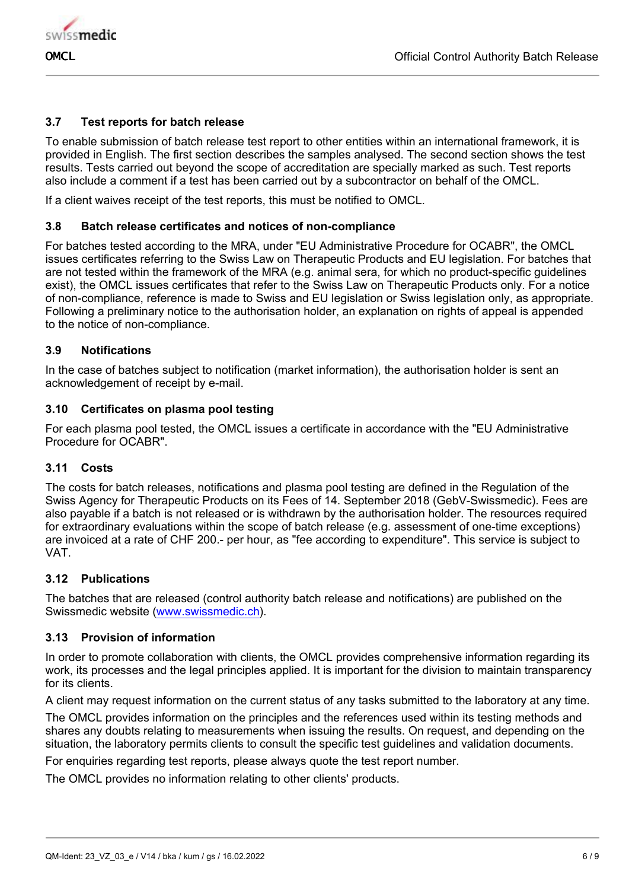

## **3.7 Test reports for batch release**

To enable submission of batch release test report to other entities within an international framework, it is provided in English. The first section describes the samples analysed. The second section shows the test results. Tests carried out beyond the scope of accreditation are specially marked as such. Test reports also include a comment if a test has been carried out by a subcontractor on behalf of the OMCL.

If a client waives receipt of the test reports, this must be notified to OMCL.

#### **3.8 Batch release certificates and notices of non-compliance**

For batches tested according to the MRA, under "EU Administrative Procedure for OCABR", the OMCL issues certificates referring to the Swiss Law on Therapeutic Products and EU legislation. For batches that are not tested within the framework of the MRA (e.g. animal sera, for which no product-specific guidelines exist), the OMCL issues certificates that refer to the Swiss Law on Therapeutic Products only. For a notice of non-compliance, reference is made to Swiss and EU legislation or Swiss legislation only, as appropriate. Following a preliminary notice to the authorisation holder, an explanation on rights of appeal is appended to the notice of non-compliance.

#### **3.9 Notifications**

In the case of batches subject to notification (market information), the authorisation holder is sent an acknowledgement of receipt by e-mail.

#### **3.10 Certificates on plasma pool testing**

For each plasma pool tested, the OMCL issues a certificate in accordance with the "EU Administrative Procedure for OCABR".

#### **3.11 Costs**

The costs for batch releases, notifications and plasma pool testing are defined in the Regulation of the Swiss Agency for Therapeutic Products on its Fees of 14. September 2018 (GebV-Swissmedic). Fees are also payable if a batch is not released or is withdrawn by the authorisation holder. The resources required for extraordinary evaluations within the scope of batch release (e.g. assessment of one-time exceptions) are invoiced at a rate of CHF 200.- per hour, as "fee according to expenditure". This service is subject to VAT.

#### **3.12 Publications**

The batches that are released (control authority batch release and notifications) are published on the Swissmedic website [\(www.swissmedic.ch\)](http://www.swissmedic.ch).

#### **3.13 Provision of information**

In order to promote collaboration with clients, the OMCL provides comprehensive information regarding its work, its processes and the legal principles applied. It is important for the division to maintain transparency for its clients.

A client may request information on the current status of any tasks submitted to the laboratory at any time.

The OMCL provides information on the principles and the references used within its testing methods and shares any doubts relating to measurements when issuing the results. On request, and depending on the situation, the laboratory permits clients to consult the specific test guidelines and validation documents.

For enquiries regarding test reports, please always quote the test report number.

The OMCL provides no information relating to other clients' products.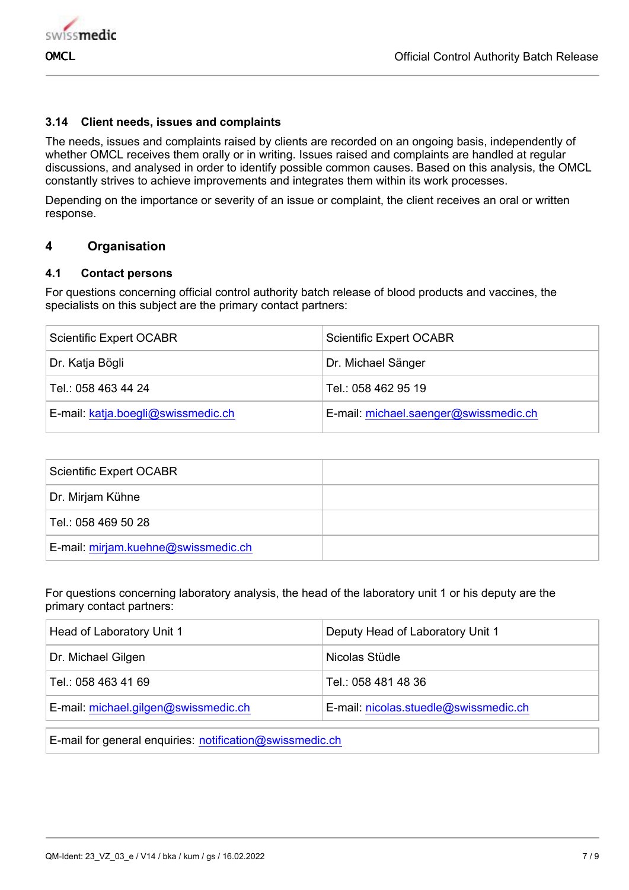

#### **3.14 Client needs, issues and complaints**

The needs, issues and complaints raised by clients are recorded on an ongoing basis, independently of whether OMCL receives them orally or in writing. Issues raised and complaints are handled at regular discussions, and analysed in order to identify possible common causes. Based on this analysis, the OMCL constantly strives to achieve improvements and integrates them within its work processes.

Depending on the importance or severity of an issue or complaint, the client receives an oral or written response.

#### **4 Organisation**

#### **4.1 Contact persons**

For questions concerning official control authority batch release of blood products and vaccines, the specialists on this subject are the primary contact partners:

| <b>Scientific Expert OCABR</b>     | <b>Scientific Expert OCABR</b>        |
|------------------------------------|---------------------------------------|
| Dr. Katja Bögli                    | Dr. Michael Sänger                    |
| Tel.: 058 463 44 24                | Tel.: 058 462 95 19                   |
| E-mail: katja.boegli@swissmedic.ch | E-mail: michael.saenger@swissmedic.ch |

| Scientific Expert OCABR             |  |
|-------------------------------------|--|
| Dr. Mirjam Kühne                    |  |
| Tel.: 058 469 50 28                 |  |
| E-mail: mirjam.kuehne@swissmedic.ch |  |

For questions concerning laboratory analysis, the head of the laboratory unit 1 or his deputy are the primary contact partners:

| Head of Laboratory Unit 1            | Deputy Head of Laboratory Unit 1      |
|--------------------------------------|---------------------------------------|
| Dr. Michael Gilgen                   | Nicolas Stüdle                        |
| Tel.: 058 463 41 69                  | Tel.: 058 481 48 36                   |
| E-mail: michael.gilgen@swissmedic.ch | E-mail: nicolas.stuedle@swissmedic.ch |

E-mail for general enquiries: notification@swissmedic.ch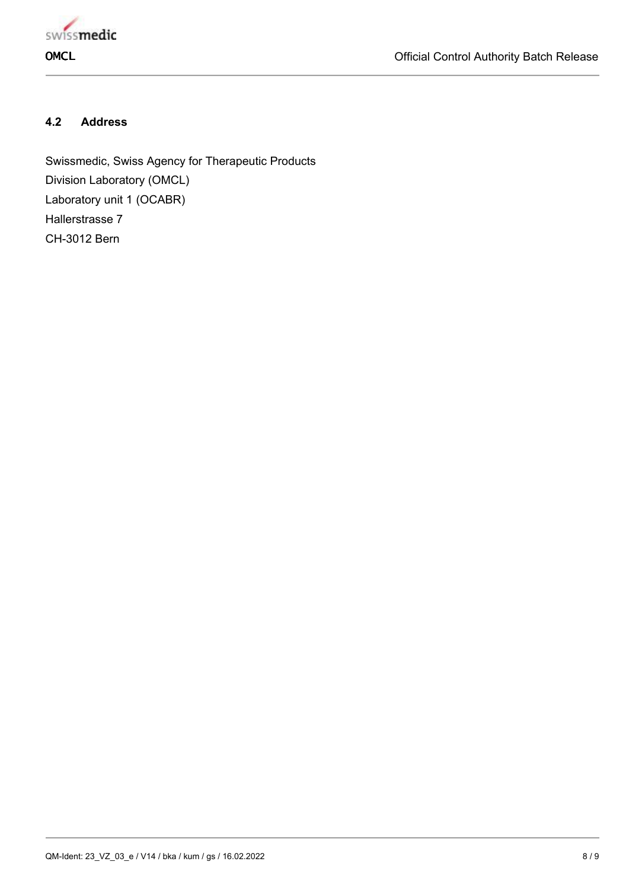

# **4.2 Address**

Swissmedic, Swiss Agency for Therapeutic Products Division Laboratory (OMCL) Laboratory unit 1 (OCABR) Hallerstrasse 7 CH-3012 Bern